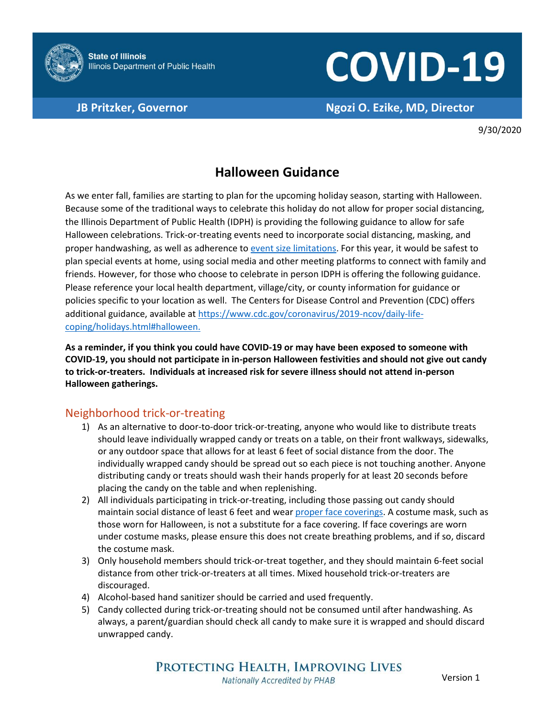

# **COVID-19**

**JB Pritzker, Governor Ngozi O. Ezike, MD, Director**

9/30/2020

## **Halloween Guidance**

As we enter fall, families are starting to plan for the upcoming holiday season, starting with Halloween. Because some of the traditional ways to celebrate this holiday do not allow for proper social distancing, the Illinois Department of Public Health (IDPH) is providing the following guidance to allow for safe Halloween celebrations. Trick-or-treating events need to incorporate social distancing, masking, and proper handwashing, as well as adherence t[o event size limitations.](https://www.dph.illinois.gov/sites/default/files/COVID19/77-690RG-E20200807.pdf) For this year, it would be safest to plan special events at home, using social media and other meeting platforms to connect with family and friends. However, for those who choose to celebrate in person IDPH is offering the following guidance. Please reference your local health department, village/city, or county information for guidance or policies specific to your location as well. The Centers for Disease Control and Prevention (CDC) offers additional guidance, available a[t https://www.cdc.gov/coronavirus/2019-ncov/daily-life](https://www.cdc.gov/coronavirus/2019-ncov/daily-life-coping/holidays.html#halloween)[coping/holidays.html#halloween.](https://www.cdc.gov/coronavirus/2019-ncov/daily-life-coping/holidays.html#halloween)

**As a reminder, if you think you could have COVID-19 or may have been exposed to someone with COVID-19, you should not participate in in-person Halloween festivities and should not give out candy to trick-or-treaters. Individuals at increased risk for severe illness should not attend in-person Halloween gatherings.**

### Neighborhood trick-or-treating

- 1) As an alternative to door-to-door trick-or-treating, anyone who would like to distribute treats should leave individually wrapped candy or treats on a table, on their front walkways, sidewalks, or any outdoor space that allows for at least 6 feet of social distance from the door. The individually wrapped candy should be spread out so each piece is not touching another. Anyone distributing candy or treats should wash their hands properly for at least 20 seconds before placing the candy on the table and when replenishing.
- 2) All individuals participating in trick-or-treating, including those passing out candy should maintain social distance of least 6 feet and wear [proper face coverings.](https://www.cdc.gov/coronavirus/2019-ncov/prevent-getting-sick/about-face-coverings.html) A costume mask, such as those worn for Halloween, is not a substitute for a face covering. If face coverings are worn under costume masks, please ensure this does not create breathing problems, and if so, discard the costume mask.
- 3) Only household members should trick-or-treat together, and they should maintain 6-feet social distance from other trick-or-treaters at all times. Mixed household trick-or-treaters are discouraged.
- 4) Alcohol-based hand sanitizer should be carried and used frequently.
- 5) Candy collected during trick-or-treating should not be consumed until after handwashing. As always, a parent/guardian should check all candy to make sure it is wrapped and should discard unwrapped candy.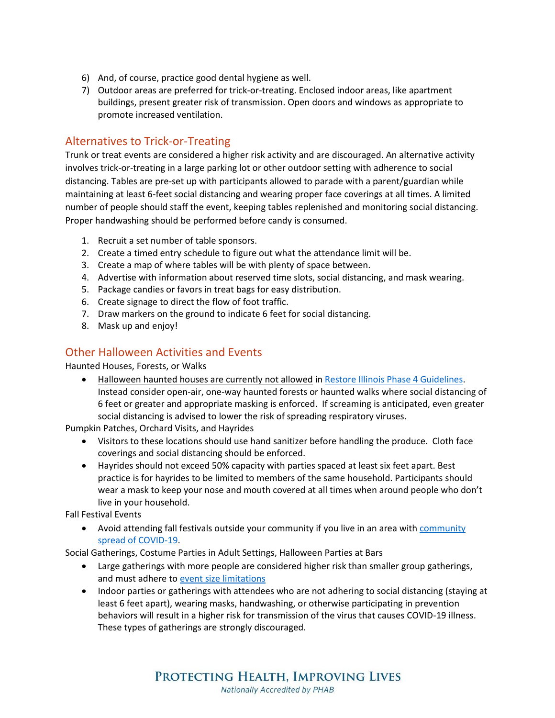- 6) And, of course, practice good dental hygiene as well.
- 7) Outdoor areas are preferred for trick-or-treating. Enclosed indoor areas, like apartment buildings, present greater risk of transmission. Open doors and windows as appropriate to promote increased ventilation.

#### Alternatives to Trick-or-Treating

Trunk or treat events are considered a higher risk activity and are discouraged. An alternative activity involves trick-or-treating in a large parking lot or other outdoor setting with adherence to social distancing. Tables are pre-set up with participants allowed to parade with a parent/guardian while maintaining at least 6-feet social distancing and wearing proper face coverings at all times. A limited number of people should staff the event, keeping tables replenished and monitoring social distancing. Proper handwashing should be performed before candy is consumed.

- 1. Recruit a set number of table sponsors.
- 2. Create a timed entry schedule to figure out what the attendance limit will be.
- 3. Create a map of where tables will be with plenty of space between.
- 4. Advertise with information about reserved time slots, social distancing, and mask wearing.
- 5. Package candies or favors in treat bags for easy distribution.
- 6. Create signage to direct the flow of foot traffic.
- 7. Draw markers on the ground to indicate 6 feet for social distancing.
- 8. Mask up and enjoy!

#### Other Halloween Activities and Events

Haunted Houses, Forests, or Walks

• Halloween haunted houses are currently not allowed i[n Restore Illinois Phase 4 Guidelines.](https://www2.illinois.gov/dceo/Documents/Phase%204%20Business%20Guidance%20FAQ.pdf) Instead consider open-air, one-way haunted forests or haunted walks where social distancing of 6 feet or greater and appropriate masking is enforced. If screaming is anticipated, even greater social distancing is advised to lower the risk of spreading respiratory viruses.

Pumpkin Patches, Orchard Visits, and Hayrides

- Visitors to these locations should use hand sanitizer before handling the produce. Cloth face coverings and social distancing should be enforced.
- Hayrides should not exceed 50% capacity with parties spaced at least six feet apart. Best practice is for hayrides to be limited to members of the same household. Participants should wear a mask to keep your nose and mouth covered at all times when around people who don't live in your household.

Fall Festival Events

• Avoid attending fall festivals outside your [community](http://dph.illinois.gov/covid19/statistics) if you live in an area with community [spread of COVID-19.](http://dph.illinois.gov/covid19/statistics)

Social Gatherings, Costume Parties in Adult Settings, Halloween Parties at Bars

- Large gatherings with more people are considered higher risk than smaller group gatherings, and must adhere t[o event size limitations](https://www.dph.illinois.gov/sites/default/files/COVID19/77-690RG-E20200807.pdf)
- Indoor parties or gatherings with attendees who are not adhering to social distancing (staying at least 6 feet apart), wearing masks, handwashing, or otherwise participating in prevention behaviors will result in a higher risk for transmission of the virus that causes COVID-19 illness. These types of gatherings are strongly discouraged.